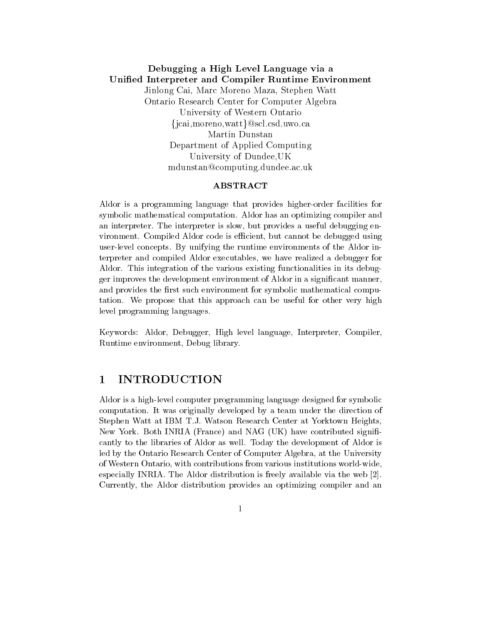# Debugging a High Level Language via a Unified Interpreter and Compiler Runtime Environment Jinlong Cai, Marc Moreno Maza, Stephen Watt Ontario Research Center for Computer Algebra University of Western Ontario {jcai, moreno, watt } @scl.csd.uwo.ca Martin Dunstan Department of Applied Computing University of Dundee, UK mdunstan@computing.dundee.ac.uk

# **ABSTRACT**

Aldor is a programming language that provides higher-order facilities for symbolic mathematical computation. Aldor has an optimizing compiler and an interpreter. The interpreter is slow, but provides a useful debugging environment. Compiled Aldor code is efficient, but cannot be debugged using user-level concepts. By unifying the runtime environments of the Aldor interpreter and compiled Aldor executables, we have realized a debugger for Aldor. This integration of the various existing functionalities in its debugger improves the development environment of Aldor in a significant manner, and provides the first such environment for symbolic mathematical computation. We propose that this approach can be useful for other very high level programming languages.

Keywords: Aldor, Debugger, High level language, Interpreter, Compiler, Runtime environment, Debug library.

### **INTRODUCTION** 1

Aldor is a high-level computer programming language designed for symbolic computation. It was originally developed by a team under the direction of Stephen Watt at IBM T.J. Watson Research Center at Yorktown Heights. New York. Both INRIA (France) and NAG (UK) have contributed significantly to the libraries of Aldor as well. Today the development of Aldor is led by the Ontario Research Center of Computer Algebra, at the University of Western Ontario, with contributions from various institutions world-wide, especially INRIA. The Aldor distribution is freely available via the web [2]. Currently, the Aldor distribution provides an optimizing compiler and an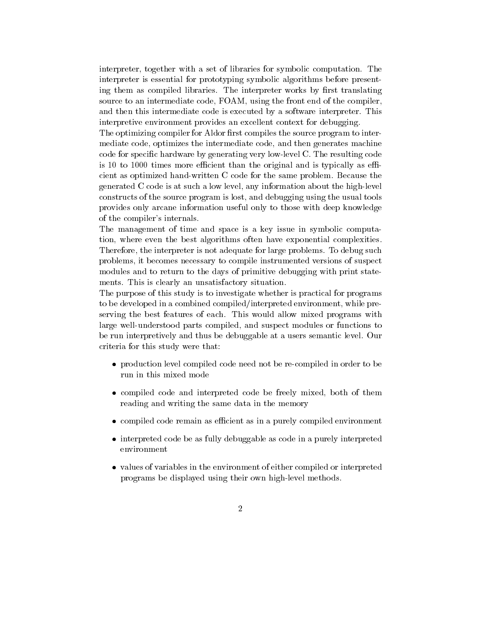interpreter, together with a set of libraries for symbolic computation. The interpreter is essential for prototyping symbolic algorithms before presenting them as compiled libraries. The interpreter works by first translating source to an intermediate code, FOAM, using the front end of the compiler. and then this intermediate code is executed by a software interpreter. This interpretive environment provides an excellent context for debugging.

The optimizing compiler for Aldor first compiles the source program to intermediate code, optimizes the intermediate code, and then generates machine code for specific hardware by generating very low-level C. The resulting code is 10 to 1000 times more efficient than the original and is typically as efficient as optimized hand-written C code for the same problem. Because the generated C code is at such a low level, any information about the high-level constructs of the source program is lost, and debugging using the usual tools provides only arcane information useful only to those with deep knowledge of the compiler's internals.

The management of time and space is a key issue in symbolic computation, where even the best algorithms often have exponential complexities. Therefore, the interpreter is not adequate for large problems. To debug such problems, it becomes necessary to compile instrumented versions of suspect modules and to return to the days of primitive debugging with print statements. This is clearly an unsatisfactory situation.

The purpose of this study is to investigate whether is practical for programs to be developed in a combined compiled/interpreted environment, while preserving the best features of each. This would allow mixed programs with large well-understood parts compiled, and suspect modules or functions to be run interpretively and thus be debuggable at a users semantic level. Our criteria for this study were that:

- production level compiled code need not be re-compiled in order to be run in this mixed mode
- compiled code and interpreted code be freely mixed, both of them reading and writing the same data in the memory
- compiled code remain as efficient as in a purely compiled environment
- interpreted code be as fully debuggable as code in a purely interpreted environment
- values of variables in the environment of either compiled or interpreted programs be displayed using their own high-level methods.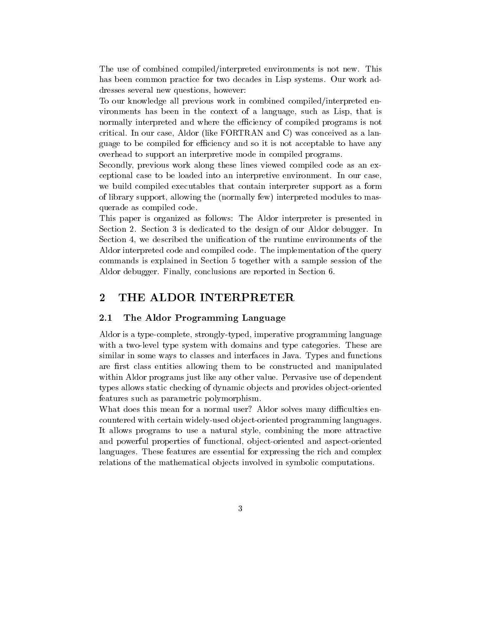The use of combined compiled/interpreted environments is not new. This has been common practice for two decades in Lisp systems. Our work addresses several new questions, however:

To our knowledge all previous work in combined compiled/interpreted environments has been in the context of a language, such as Lisp, that is normally interpreted and where the efficiency of compiled programs is not critical. In our case, Aldor (like FORTRAN and C) was conceived as a language to be compiled for efficiency and so it is not acceptable to have any overhead to support an interpretive mode in compiled programs.

Secondly, previous work along these lines viewed compiled code as an exceptional case to be loaded into an interpretive environment. In our case, we build compiled executables that contain interpreter support as a form of library support, allowing the (normally few) interpreted modules to masquerade as compiled code.

This paper is organized as follows: The Aldor interpreter is presented in Section 2. Section 3 is dedicated to the design of our Aldor debugger. In Section 4, we described the unification of the runtime environments of the Aldor interpreted code and compiled code. The implementation of the query commands is explained in Section 5 together with a sample session of the Aldor debugger. Finally, conclusions are reported in Section 6.

### $\overline{2}$ THE ALDOR INTERPRETER

### The Aldor Programming Language  $2.1$

Aldor is a type-complete, strongly-typed, imperative programming language with a two-level type system with domains and type categories. These are similar in some ways to classes and interfaces in Java. Types and functions are first class entities allowing them to be constructed and manipulated within Aldor programs just like any other value. Pervasive use of dependent types allows static checking of dynamic objects and provides object-oriented features such as parametric polymorphism.

What does this mean for a normal user? Aldor solves many difficulties encountered with certain widely-used object-oriented programming languages. It allows programs to use a natural style, combining the more attractive and powerful properties of functional, object-oriented and aspect-oriented languages. These features are essential for expressing the rich and complex relations of the mathematical objects involved in symbolic computations.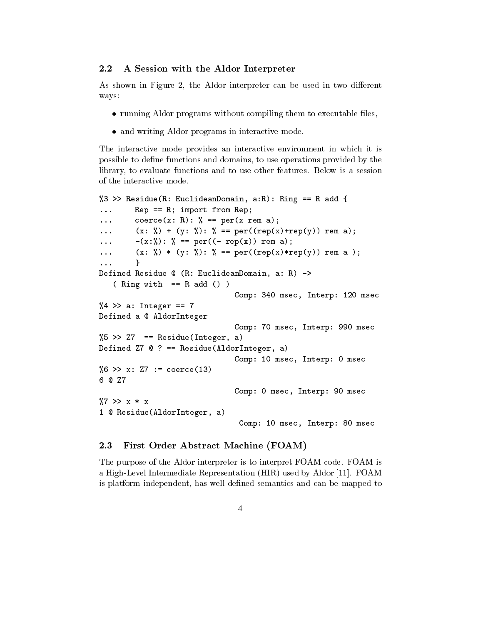### $2.2$ A Session with the Aldor Interpreter

As shown in Figure 2, the Aldor interpreter can be used in two different ways:

- running Aldor programs without compiling them to executable files,
- and writing Aldor programs in interactive mode.

The interactive mode provides an interactive environment in which it is possible to define functions and domains, to use operations provided by the library, to evaluate functions and to use other features. Below is a session of the interactive mode.

```
%3 >> Residue (R: Euclide anDomain, a:R): Ring == R add {
         Rep == R; import from Rep;\ddotsccoerce(x: R): \frac{9}{6} == per(x rem a);
\ddotsc(x: %) + (y: %): % == per((rep(x)+rep(y)) rem a);\sim \sim \sim-(x:\%): % == per((- rep(x)) rem a);
\ddotsc(x: %) * (y: %) : % == per((rep(x)*rep(y)) rem a);\mathbf{1}<sup>}</sup>
\ddotscDefined Residue @ (R: EuclideanDomain, a: R) ->
   (Ring with == R add())Comp: 340 msec, Interp: 120 msec
%4 >> a: Integer == 7
Defined a @ AldorInteger
                                 Comp: 70 msec, Interp: 990 msec
%5 >> Z7 == Residue(Integer, a)
Defined Z7 @ ? == Residue (AldorInteger, a)
                                 Comp: 10 msec, Interp: 0 msec
%6 >> x: Z7 := coerce(13)
6 @ Z7
                                 Comp: 0 msec, Interp: 90 msec
\frac{9}{7} >> x * x
1 @ Residue(AldorInteger, a)
                                  Comp: 10 msec, Interp: 80 msec
```
### 2.3 First Order Abstract Machine (FOAM)

The purpose of the Aldor interpreter is to interpret FOAM code. FOAM is a High-Level Intermediate Representation (HIR) used by Aldor [11]. FOAM is platform independent, has well defined semantics and can be mapped to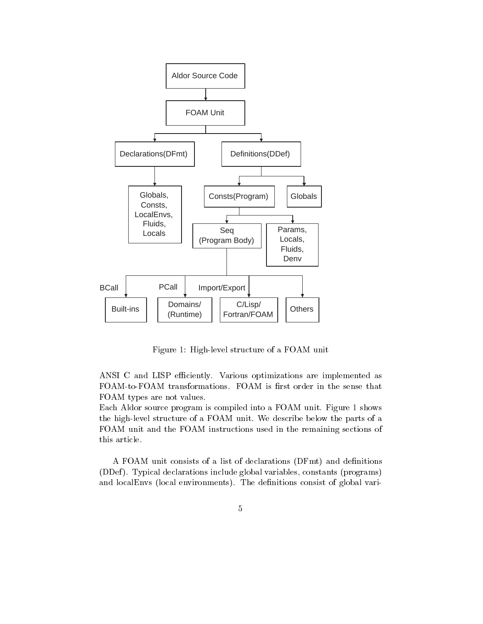

Figure 1: High-level structure of a FOAM unit

ANSI C and LISP efficiently. Various optimizations are implemented as FOAM-to-FOAM transformations. FOAM is first order in the sense that FOAM types are not values.

Each Aldor source program is compiled into a FOAM unit. Figure 1 shows the high-level structure of a FOAM unit. We describe below the parts of a FOAM unit and the FOAM instructions used in the remaining sections of this article.

A FOAM unit consists of a list of declarations (DFmt) and definitions (DDef). Typical declarations include global variables, constants (programs) and localEnvs (local environments). The definitions consist of global vari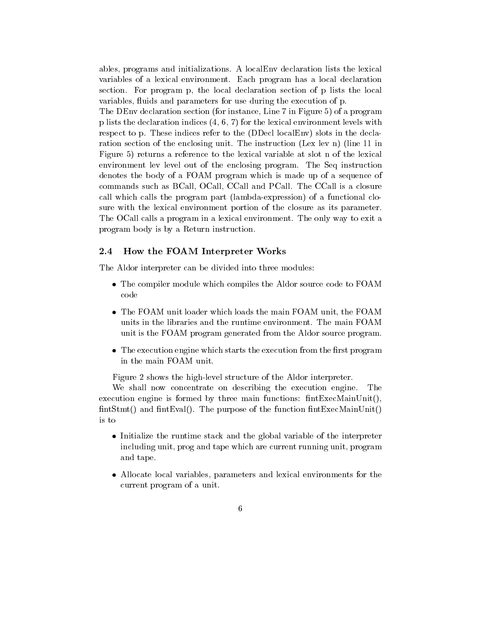ables, programs and initializations. A localEnv declaration lists the lexical variables of a lexical environment. Each program has a local declaration section. For program p, the local declaration section of p lists the local variables, fluids and parameters for use during the execution of p.

The DEnv declaration section (for instance, Line 7 in Figure 5) of a program p lists the declaration indices  $(4, 6, 7)$  for the lexical environment levels with respect to p. These indices refer to the (DDecl localEnv) slots in the declaration section of the enclosing unit. The instruction (Lex lev n) (line 11 in Figure 5) returns a reference to the lexical variable at slot n of the lexical environment lev level out of the enclosing program. The Seq instruction denotes the body of a FOAM program which is made up of a sequence of commands such as BCall, OCall, CCall and PCall. The CCall is a closure call which calls the program part (lambda-expression) of a functional closure with the lexical environment portion of the closure as its parameter. The OCall calls a program in a lexical environment. The only way to exit a program body is by a Return instruction.

### $2.4\,$ How the FOAM Interpreter Works

The Aldor interpreter can be divided into three modules:

- The compiler module which compiles the Aldor source code to FOAM code
- The FOAM unit loader which loads the main FOAM unit, the FOAM units in the libraries and the runtime environment. The main FOAM unit is the FOAM program generated from the Aldor source program.
- The execution engine which starts the execution from the first program in the main FOAM unit.

Figure 2 shows the high-level structure of the Aldor interpreter.

We shall now concentrate on describing the execution engine. The execution engine is formed by three main functions:  $fintExecMainUnit()$ ,  $\text{fintStmt}()$  and  $\text{fintEval}()$ . The purpose of the function  $\text{fintExccMainUnit}()$ is to

- Initialize the runtime stack and the global variable of the interpreter including unit, prog and tape which are current running unit, program and tape.
- Allocate local variables, parameters and lexical environments for the current program of a unit.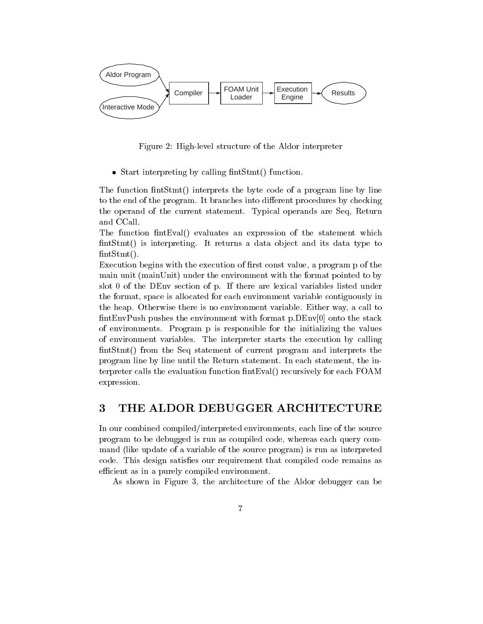

Figure 2: High-level structure of the Aldor interpreter

• Start interpreting by calling fint  $S$ tmt() function.

The function fintStmt() interprets the byte code of a program line by line to the end of the program. It branches into different procedures by checking the operand of the current statement. Typical operands are Seq. Return and CCall.

The function fint Eval() evaluates an expression of the statement which fint Stmt() is interpreting. It returns a data object and its data type to  $fintStmt()$ .

Execution begins with the execution of first const value, a program p of the main unit (mainUnit) under the environment with the format pointed to by slot 0 of the DEnv section of p. If there are lexical variables listed under the format, space is allocated for each environment variable contiguously in the heap. Otherwise there is no environment variable. Either way, a call to fintEnvPush pushes the environment with format p.DEnv[0] onto the stack of environments. Program p is responsible for the initializing the values of environment variables. The interpreter starts the execution by calling fintStmt() from the Seq statement of current program and interprets the program line by line until the Return statement. In each statement, the interpreter calls the evaluation function fint Eval() recursively for each FOAM expression.

## 3 THE ALDOR DEBUGGER ARCHITECTURE

In our combined compiled/interpreted environments, each line of the source program to be debugged is run as compiled code, whereas each query command (like update of a variable of the source program) is run as interpreted code. This design satisfies our requirement that compiled code remains as efficient as in a purely compiled environment.

As shown in Figure 3, the architecture of the Aldor debugger can be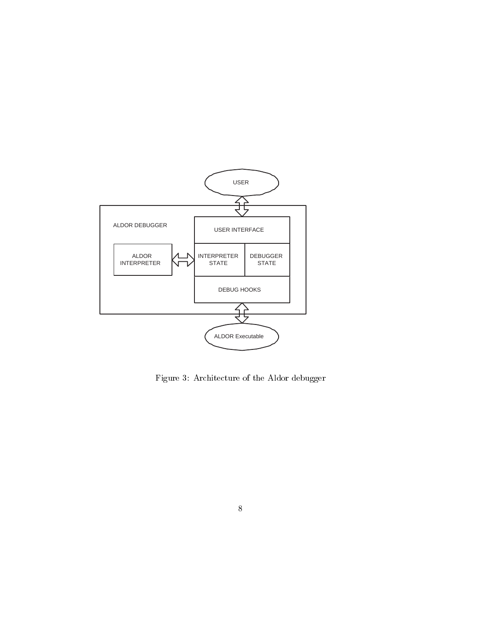

Figure 3: Architecture of the Aldor debugger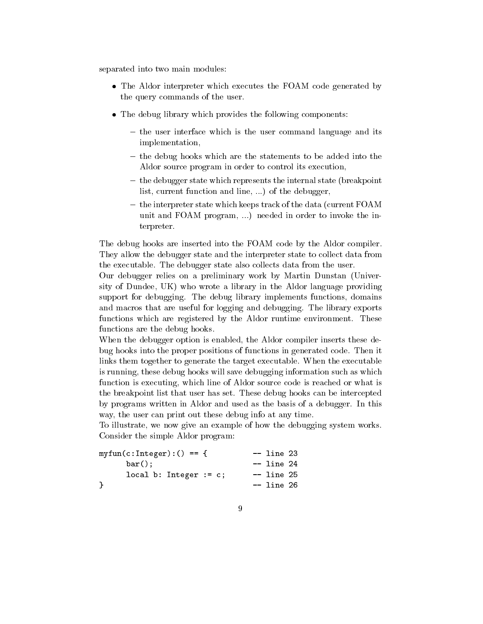separated into two main modules:

- The Aldor interpreter which executes the FOAM code generated by the query commands of the user.
- The debug library which provides the following components:
	- the user interface which is the user command language and its implementation,
	- the debug hooks which are the statements to be added into the Aldor source program in order to control its execution,
	- the debugger state which represents the internal state (breakpoint list, current function and line, ...) of the debugger,
	- the interpreter state which keeps track of the data (current FOAM unit and FOAM program, ...) needed in order to invoke the interpreter.

The debug hooks are inserted into the FOAM code by the Aldor compiler. They allow the debugger state and the interpreter state to collect data from the executable. The debugger state also collects data from the user.

Our debugger relies on a preliminary work by Martin Dunstan (University of Dundee, UK) who wrote a library in the Aldor language providing support for debugging. The debug library implements functions, domains and macros that are useful for logging and debugging. The library exports functions which are registered by the Aldor runtime environment. These functions are the debug hooks.

When the debugger option is enabled, the Aldor compiler inserts these debug hooks into the proper positions of functions in generated code. Then it links them together to generate the target executable. When the executable is running, these debug hooks will save debugging information such as which function is executing, which line of Aldor source code is reached or what is the breakpoint list that user has set. These debug hooks can be intercepted by programs written in Aldor and used as the basis of a debugger. In this way, the user can print out these debug into at any time.

To illustrate, we now give an example of how the debugging system works. Consider the simple Aldor program:

| $myfun(c:Integer):( == $ | $--$ line 23 |  |
|--------------------------|--------------|--|
| $bar()$ ;                | $--$ line 24 |  |
| local b: Integer $:= c;$ | -- line 25   |  |
| ŀ                        | -- line 26   |  |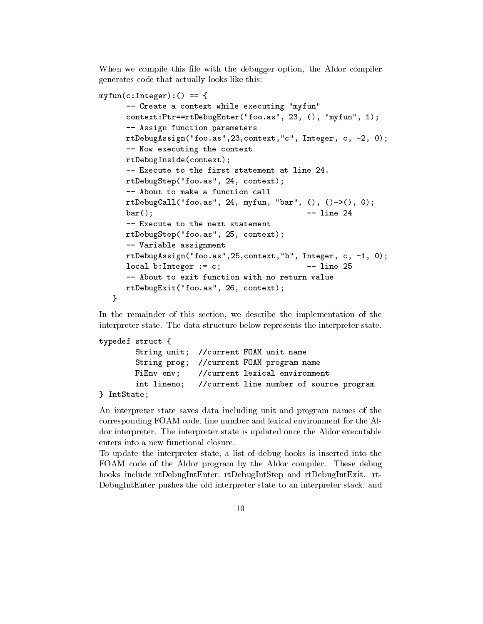When we compile this file with the debugger option, the Aldor compiler generates code that actually looks like this:

```
myfun(c:Integer):( == {-- Create a context while executing "myfun"
      context: Ptr == rtDebugEnter("foo.as", 23, (), "myfun", 1);
      -- Assign function parameters
      rtDebugAssign("foo.as", 23, context, "c", Integer, c, -2, 0);
      -- Now executing the context
      rtDebugInside(context);
      -- Execute to the first statement at line 24.
      rtDebugStep("foo.as", 24, context);
      -- About to make a function call
      rtDebugCall("foo.as", 24, myfun, "bar", (), () ->(), 0);
                                                -- line 24
      bar();
      -- Execute to the next statement
      rtDebugStep("foo.as", 25, context);
      -- Variable assignment
      rtDebugAssign("foo.as", 25, context, "b", Integer, c, -1, 0);
                                                -- line 25
      local b:Interger := c;-- About to exit function with no return value
      rtDebugExit("foo.as", 26, context);
   \mathbf{r}
```
In the remainder of this section, we describe the implementation of the interpreter state. The data structure below represents the interpreter state.

```
typedef struct {
        String unit; //current FOAM unit name
        String prog; //current FOAM program name
       FiEnv env;
                    //current lexical environment
        int lineno;
                     //current line number of source program
} IntState;
```
An interpreter state saves data including unit and program names of the corresponding FOAM code, line number and lexical environment for the Aldor interpreter. The interpreter state is updated once the Aldor executable enters into a new functional closure.

To update the interpreter state, a list of debug hooks is inserted into the FOAM code of the Aldor program by the Aldor compiler. These debug hooks include rtDebugIntEnter, rtDebugIntStep and rtDebugIntExit. rt-DebugIntEnter pushes the old interpreter state to an interpreter stack, and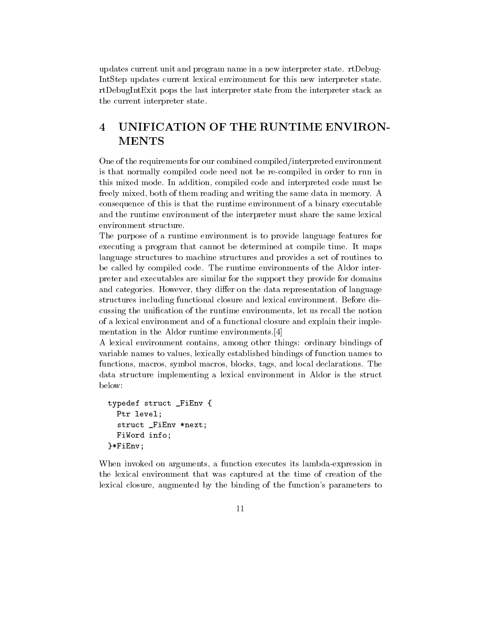updates current unit and program name in a new interpreter state. rtDebug-IntStep updates current lexical environment for this new interpreter state. rtDebugIntExit pops the last interpreter state from the interpreter stack as the current interpreter state.

# UNIFICATION OF THE RUNTIME ENVIRON- $\overline{\mathbf{4}}$ **MENTS**

One of the requirements for our combined compiled/interpreted environment is that normally compiled code need not be re-compiled in order to run in this mixed mode. In addition, compiled code and interpreted code must be freely mixed, both of them reading and writing the same data in memory. A consequence of this is that the runtime environment of a binary executable and the runtime environment of the interpreter must share the same lexical environment structure.

The purpose of a runtime environment is to provide language features for executing a program that cannot be determined at compile time. It maps language structures to machine structures and provides a set of routines to be called by compiled code. The runtime environments of the Aldor interpreter and executables are similar for the support they provide for domains and categories. However, they differ on the data representation of language structures including functional closure and lexical environment. Before discussing the unification of the runtime environments, let us recall the notion of a lexical environment and of a functional closure and explain their implementation in the Aldor runtime environments. [4]

A lexical environment contains, among other things: ordinary bindings of variable names to values, lexically established bindings of function names to functions, macros, symbol macros, blocks, tags, and local declarations. The data structure implementing a lexical environment in Aldor is the struct below:

```
typedef struct _FiEnv {
 Ptr level;
  struct _FiEnv *next;
 FiWord info;
}*FiEnv;
```
When invoked on arguments, a function executes its lambda-expression in the lexical environment that was captured at the time of creation of the lexical closure, augmented by the binding of the function's parameters to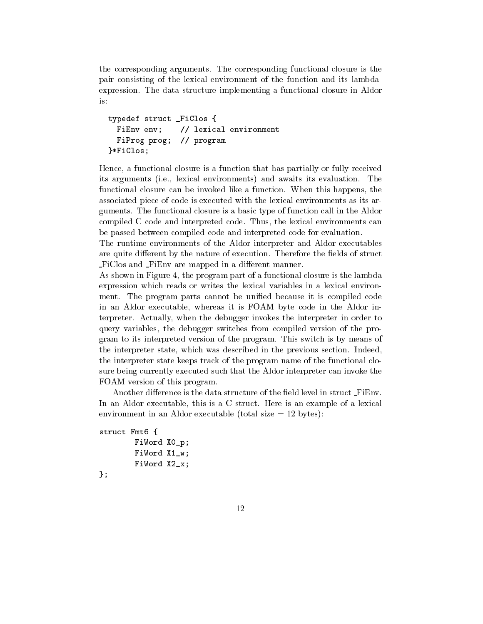the corresponding arguments. The corresponding functional closure is the pair consisting of the lexical environment of the function and its lambdaexpression. The data structure implementing a functional closure in Aldor is:

```
typedef struct _FiClos {
                // lexical environment
 FiEnv env;
 FiProg prog;
                // program}*FiClos;
```
Hence, a functional closure is a function that has partially or fully received its arguments (i.e., lexical environments) and awaits its evaluation. The functional closure can be invoked like a function. When this happens, the associated piece of code is executed with the lexical environments as its arguments. The functional closure is a basic type of function call in the Aldor compiled C code and interpreted code. Thus, the lexical environments can be passed between compiled code and interpreted code for evaluation.

The runtime environments of the Aldor interpreter and Aldor executables are quite different by the nature of execution. Therefore the fields of struct FiClos and FiEnv are mapped in a different manner.

As shown in Figure 4, the program part of a functional closure is the lambda expression which reads or writes the lexical variables in a lexical environment. The program parts cannot be unified because it is compiled code in an Aldor executable, whereas it is FOAM byte code in the Aldor interpreter. Actually, when the debugger invokes the interpreter in order to query variables, the debugger switches from compiled version of the program to its interpreted version of the program. This switch is by means of the interpreter state, which was described in the previous section. Indeed, the interpreter state keeps track of the program name of the functional closure being currently executed such that the Aldor interpreter can invoke the FOAM version of this program.

Another difference is the data structure of the field level in struct FiEnv. In an Aldor executable, this is a C struct. Here is an example of a lexical environment in an Aldor executable (total size  $= 12$  bytes):

```
struct Fmt6 {
        FiWord XO_p;
        FiWord X1 w:
        FiWord X2_x;
```

```
\} ;
```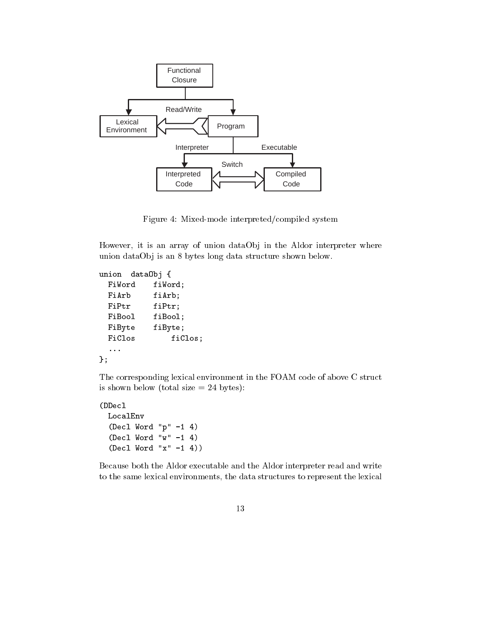

Figure 4: Mixed-mode interpreted/compiled system

 $\mathcal{A}$  . The contract of the contract of the contract of the contract of the contract of the contract of the contract of the contract of the contract of the contract of the contract of the contract of the contract of th  $1$  . The contract of  $\mathbf{A}$ 

```
union data0bj {
 FiWord fiWord;
 FiArb fiArb;
 FiPtr fiPtr;
 FiBool fiBool;
 FiByte fiByte;
 FiClos fiClos;
\} ;
```
The corresponding lexical environment in the FOAM code of above C struct is shown below (total size  $= 24$  bytes):

```
	

 LocalEnv
 (Decl Word "p'' - 1 4)
 (Decl Word "w'' - 1 4)
 (Decl Word "x" -1 4))
```


 - 


 - 
 - 

- - 

 -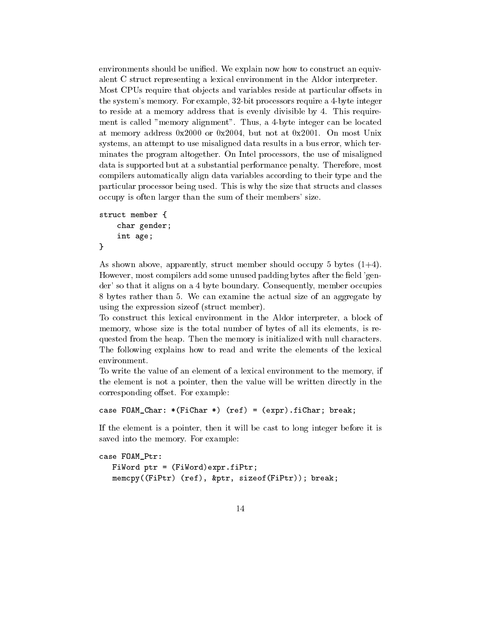environments should be unified. We explain now how to construct an equivalent C struct representing a lexical environment in the Aldor interpreter. Most CPUs require that objects and variables reside at particular offsets in the system's memory. For example, 32-bit processors require a 4-byte integer to reside at a memory address that is evenly divisible by 4. This requirement is called "memory alignment". Thus, a 4-byte integer can be located at memory address  $0x2000$  or  $0x2004$ , but not at  $0x2001$ . On most Unix systems, an attempt to use misaligned data results in a bus error, which terminates the program altogether. On Intel processors, the use of misaligned data is supported but at a substantial performance penalty. Therefore, most compilers automatically align data variables according to their type and the particular processor being used. This is why the size that structs and classes occupy is often larger than the sum of their members' size.

```
struct member {
     char gender;
     int age;
\mathcal{F}
```
As shown above, apparently, struct member should occupy 5 bytes  $(1+4)$ . However, most compilers add some unused padding bytes after the field 'gender' so that it aligns on a 4 byte boundary. Consequently, member occupies 8 bytes rather than 5. We can examine the actual size of an aggregate by using the expression size of (struct member).

To construct this lexical environment in the Aldor interpreter, a block of memory, whose size is the total number of bytes of all its elements, is requested from the heap. Then the memory is initialized with null characters. The following explains how to read and write the elements of the lexical environment.

To write the value of an element of a lexical environment to the memory, if the element is not a pointer, then the value will be written directly in the corresponding offset. For example:

case FOAM\_Char: \*(FiChar \*)  $(ref) = (expr) \cdot fichar; break;$ 

If the element is a pointer, then it will be cast to long integer before it is saved into the memory. For example:

```
case FOAM_Ptr:
  FiWord ptr = (FiWord)expr.fiPtr;memcpy((FiPtr) (ref), &ptr, sizeof(FiPtr)); break;
```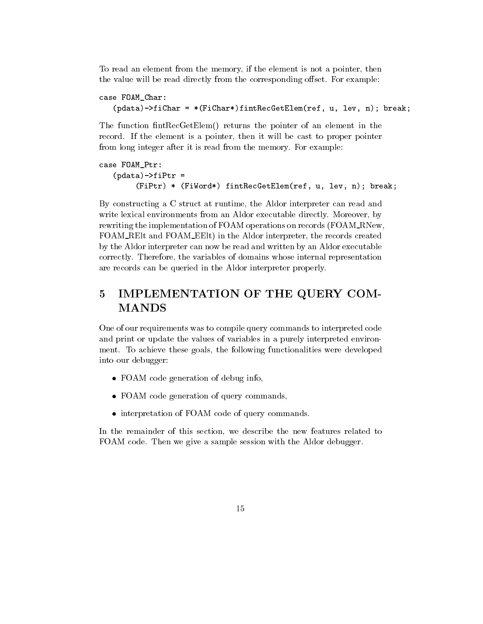To read an element from the memory, if the element is not a pointer, then the value will be read directly from the corresponding offset. For example:

```
case FOAM_Char:
   (\text{pdata})->fiChar = *(FiChar*)fintRecGetElem(ref, u, lev, n); break;
```
The function fintRecGetElem() returns the pointer of an element in the record. If the element is a pointer, then it will be cast to proper pointer from long integer after it is read from the memory. For example:

```
case FOAM_Ptr:
   (\text{pdata})->fiPtr =
        (FiPtr) * (FiWord*) fintRecGetElem(ref, u, lev, n); break;
```
By constructing a C struct at runtime, the Aldor interpreter can read and write lexical environments from an Aldor executable directly. Moreover, by rewriting the implementation of FOAM operations on records (FOAM\_RNew, FOAM\_REIt and FOAM\_EEIt) in the Aldor interpreter, the records created by the Aldor interpreter can now be read and written by an Aldor executable correctly. Therefore, the variables of domains whose internal representation are records can be queried in the Aldor interpreter properly.

# 5 IMPLEMENTATION OF THE QUERY COM-**MANDS**

One of our requirements was to compile query commands to interpreted code and print or update the values of variables in a purely interpreted environment. To achieve these goals, the following functionalities were developed into our debugger:

- FOAM code generation of debug info.
- FOAM code generation of query commands,
- interpretation of FOAM code of query commands.

In the remainder of this section, we describe the new features related to FOAM code. Then we give a sample session with the Aldor debugger.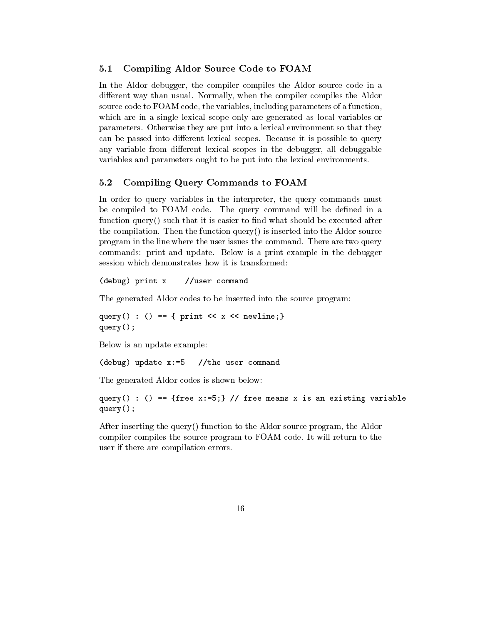#### $5.1$ Compiling Aldor Source Code to FOAM

In the Aldor debugger, the compiler compiles the Aldor source code in a different way than usual. Normally, when the compiler compiles the Aldor source code to FOAM code, the variables, including parameters of a function, which are in a single lexical scope only are generated as local variables or parameters. Otherwise they are put into a lexical environment so that they can be passed into different lexical scopes. Because it is possible to query any variable from different lexical scopes in the debugger, all debuggable variables and parameters ought to be put into the lexical environments.

### $5.2$ Compiling Query Commands to FOAM

In order to query variables in the interpreter, the query commands must be compiled to FOAM code. The query command will be defined in a function  $query()$  such that it is easier to find what should be executed after the compilation. Then the function  $query()$  is inserted into the Aldor source program in the line where the user issues the command. There are two query commands: print and update. Below is a print example in the debugger session which demonstrates how it is transformed:

(debug) print x //user command

The generated Aldor codes to be inserted into the source program:

query() : () == { print <<  $x$  << newline;}  $query()$ ;

Below is an update example:

 $(debug) update x:=5$ //the user command

The generated Aldor codes is shown below:

query() : () == {free x:=5;} // free means x is an existing variable  $query()$ ;

After inserting the query() function to the Aldor source program, the Aldor compiler compiles the source program to FOAM code. It will return to the user if there are compilation errors.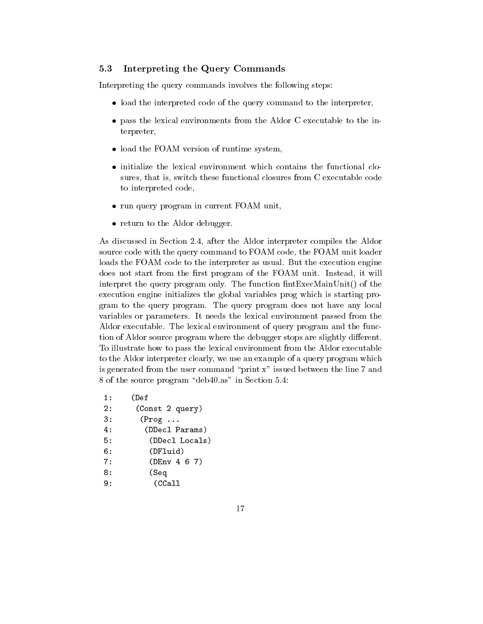### $5.3$ Interpreting the Query Commands

Interpreting the query commands involves the following steps:

- load the interpreted code of the query command to the interpreter,
- pass the lexical environments from the Aldor C executable to the interpreter,
- load the FOAM version of runtime system,
- initialize the lexical environment which contains the functional closures, that is, switch these functional closures from C executable code to interpreted code,
- run query program in current FOAM unit,
- return to the Aldor debugger.

As discussed in Section 2.4, after the Aldor interpreter compiles the Aldor source code with the query command to FOAM code, the FOAM unit loader loads the FOAM code to the interpreter as usual. But the execution engine does not start from the first program of the FOAM unit. Instead, it will interpret the query program only. The function fintExecMainUnit() of the execution engine initializes the global variables prog which is starting program to the query program. The query program does not have any local variables or parameters. It needs the lexical environment passed from the Aldor executable. The lexical environment of query program and the function of Aldor source program where the debugger stops are slightly different. To illustrate how to pass the lexical environment from the Aldor executable to the Aldor interpreter clearly, we use an example of a query program which is generated from the user command "print  $x$ " issued between the line 7 and 8 of the source program "deb40.as" in Section 5.4:

 $1:$  $(Def$  $2:$ (Const 2 query)  $3:$  $(Prog \dots$  $4:$ (DDecl Params)  $5:$ (DDecl Locals)  $6:$ (DFluid)  $7:$  $(DEnv 4 6 7)$  $8:$ (Seq  $(CCall$  $9:$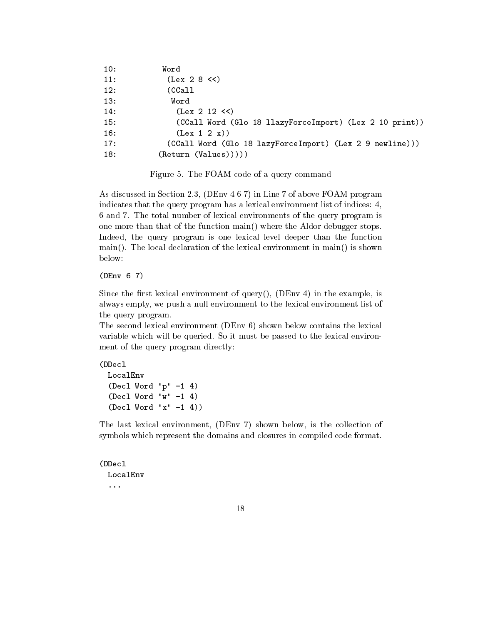| 10: | Word                                                     |
|-----|----------------------------------------------------------|
| 11: | (Lex 2 8 < c)                                            |
| 12: | (CCall                                                   |
| 13: | Word                                                     |
| 14: | (Lex 2 12 < c)                                           |
| 15: | (CCall Word (Glo 18 llazyForceImport) (Lex 2 10 print))  |
| 16: | (Lex 1 2 x))                                             |
| 17: | (CCall Word (Glo 18 lazyForceImport) (Lex 2 9 newline))) |
| 18: | (Return (Values))))                                      |
|     |                                                          |

Figure 5. The FOAM code of a query command

As discussed in Section 2.3, (DEnv 4 6 7) in Line 7 of above FOAM program indicates that the query program has a lexical environment list of indices: 4, 6 and 7. The total number of lexical environments of the query program is one more than that of the function main() where the Aldor debugger stops. Indeed, the query program is one lexical level deeper than the function  $\text{main}()$ . The local declaration of the lexical environment in  $\text{main}()$  is shown below:

 $(DEnv 6 7)$ 

Since the first lexical environment of query(), (DEnv 4) in the example, is always empty, we push a null environment to the lexical environment list of the query program.

The second lexical environment (DEnv  $6$ ) shown below contains the lexical variable which will be queried. So it must be passed to the lexical environment of the query program directly:

(DDecl LocalEnv (Decl Word " $p'' -1 4$ ) (Decl Word " $w'' - 1$  4)  $($ Decl Word "x"  $-1$  4 $)$ )

The last lexical environment, (DEnv 7) shown below, is the collection of symbols which represent the domains and closures in compiled code format.

```
(DDecl
   LocalEnv
    \epsilon \rightarrow 0
```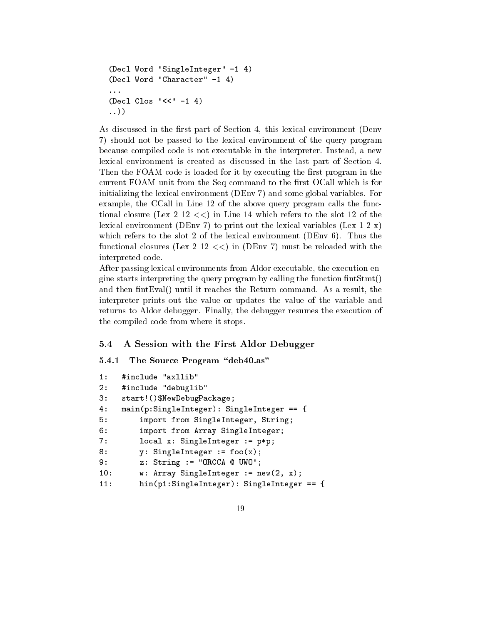```
(Decl Word "SingleInteger" -1 4)
(Decl Word "Character" -1 4)
\ddotsc(Decl Class "<<" -1 4)\ldots)
```
As discussed in the first part of Section 4, this lexical environment (Denv 7) should not be passed to the lexical environment of the query program because compiled code is not executable in the interpreter. Instead, a new lexical environment is created as discussed in the last part of Section 4. Then the FOAM code is loaded for it by executing the first program in the current FOAM unit from the Seq command to the first OCall which is for initializing the lexical environment (DEnv 7) and some global variables. For example, the CCall in Line 12 of the above query program calls the functional closure (Lex 2 12  $<<$ ) in Line 14 which refers to the slot 12 of the lexical environment (DEnv 7) to print out the lexical variables (Lex 1 2 x) which refers to the slot 2 of the lexical environment (DEnv  $6$ ). Thus the functional closures (Lex 2 12  $<<$ ) in (DEnv 7) must be reloaded with the interpreted code.

After passing lexical environments from Aldor executable, the execution engine starts interpreting the query program by calling the function  $fintStmt()$ and then fint Eval() until it reaches the Return command. As a result, the interpreter prints out the value or updates the value of the variable and returns to Aldor debugger. Finally, the debugger resumes the execution of the compiled code from where it stops.

### $5.4$ A Session with the First Aldor Debugger

#### $5.4.1$ The Source Program "deb40.as"

```
#include "axllib"
1:2:#include "debuglib"
3:start! () $NewDebugPackage;
4 :
    main(p:SingleInteger): SingleInteger5:import from SingleInteger, String;
6:import from Array SingleInteger;
7:local x: SingleInteger := p*p;8:y: SingleInteger := foo(x);
        z: String := "ORCCA @ UWO";
9:w: Array SingleInteger := new(2, x);
10:11:hin(p1:SingleInteger): SingleInteger = \{
```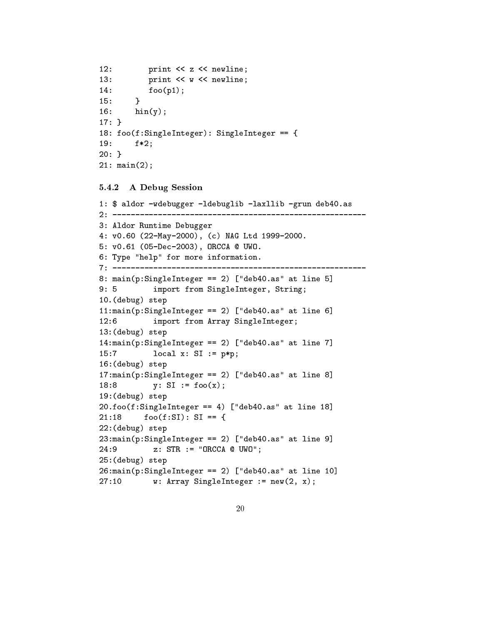```
12:print << z << newline;
13:print << w << newline;
14:foo(p1);15:\mathcal{L}16:hin(y);17:}
18: foo(f:SingleInteger): SingleInteger == {
19:f*2;20: \}21: min(2);
```
### $5.4.2$ A Debug Session

```
1: $ aldor -wdebugger -ldebuglib -laxllib -grun deb40.as
3: Aldor Runtime Debugger
4: v0.60 (22-May-2000), (c) NAG Ltd 1999-2000.
5: v0.61 (05-Dec-2003), ORCCA @ UWO.
6: Type "help" for more information.
8: main(p:SingleInteger == 2) ["deb40.as" at line 5]
9:5import from SingleInteger, String;
10. (debug) step
11:main(p:SingleInteger == 2) ["deb40.as" at line 6]
12:6import from Array SingleInteger;
13:(\text{delay}) step
14:main(p:SingleInteger == 2) ["deb40.as" at line 7]
15:7local x: SI := p*p;16: (debug) step
17:main(p:SingleInteger == 2) ["deb40.as" at line 8]
18:8y: SI := foo(x);19:(\text{delay}) step
20.foo(f:SingleInteger == 4) ["deb40.as" at line 18]
         foo(f:SI): SI == {21:1822: (debug) step
23: \text{main}(p: \text{SingleInteger} == 2) ["deb40.as" at line 9]
24:9z: STR := "ORCCA @ UWO";
25: (debug) step
26: \text{main}(p: \text{SingleInteger} == 2) ["deb40.as" at line 10]
27:10w: Array SingleInteger := new(2, x);
```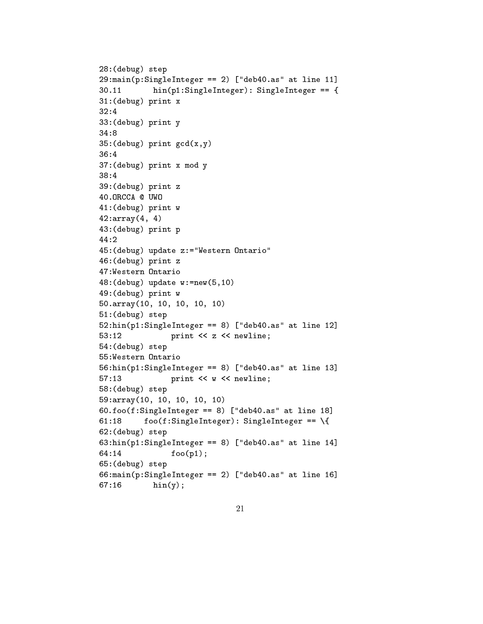```
,4
	5 
,/

9
*  , Q65()6  
 ++R
)++ &	+
9
*
 9
*  
+
	5  
32:4
	5  
34:8\sim 0.000 \sim 0.000 \sim 0.000 \sim 0.000 \sim 0.000 \sim 0.000 \sim 0.000 \sim 0.000 \sim 0.000 \sim 0.000 \sim 0.000 \sim 0.000 \sim 0.000 \sim 0.000 \sim 0.000 \sim 0.000 \sim 0.000 \sim 0.000 \sim 0.000 \sim 0.000 -
	5    
/
	5  H
40.0RCCA @ UWO
(+
	5  %
, and the contract of the contract of the contract of the contract of the contract of the contract of the contract of the contract of the contract of the contract of the contract of the contract of the contract of the con
(
	5  
44:2\sim 6 \sim 6 \sim 6 \sim 6 \sim 6 \sim 6 \sim 6 \sim 6 \sim 6 \sim 6 \sim 6 \sim 6 \sim 6 \sim 6 \sim 6 \sim 6 \sim 6 \sim 6 \sim 6 \sim 6 \sim 6 \sim 6 \sim 6 \sim 6 \sim 6 \sim 6 \sim 6 \sim 6 \sim 6 \sim 6 \sim 6 \sim(3
	5  H
(4
	5  %
%	0+)
(/
	5  %
50.\arctan(10, 10, 10, 10, 10)\sim 0 \sim 0 \sim 0 \sim 0 \sim 0 \sim 0 \sim 0 \sim 0 \sim 0 \sim 0 \sim 0 \sim 0 \sim 0 \sim 0 \sim 0 \sim 0 \sim 0 \sim 0 \sim 0 \sim 0 \sim 0 \sim 0 \sim 0 \sim 0 \sim 0 \sim 0 \sim 0 \sim 0 \sim 0 \sim 0 \sim 0 \sim0,
&	+
9
*  4 Q65()6  
 +,R
53:12print << z << newline;
0(
	5 
03
&	+
9
*  4 Q65()6  
 +R
57:13print << w << newline;
\sim 0.12 \sim 0.14 \sim 0.14 \sim 0.14 \sim 0.14 \sim 0.14 \sim 0.14 \sim 0.14 \sim 0.14 \sim 0.14 \sim 0.14 \sim 0.14 \sim 0.14 \sim 0.14 \sim 0.14 \sim 0.14 \sim 0.14 \sim 0.14 \sim 0.14 \sim 0.14 \sim 0.14 \sim 0.14 0/2010/07/2010 12:00:00 12:00 12:00 12:00 12:00 12:00 12:00 12:00 12:00 12:00 12:00 12:00 12:00 12:00 12:00 12
3)	
9
*  4 Q65()6  
 +4R
61:18+4 	
9
*
 9
*  S
3,
	5 
\mathbf{S} = \mathbf{S} \mathbf{S} , and a set of \mathbf{S} = \mathbf{S} \mathbf{S} , and a set of \mathbf{S} = \mathbf{S} \mathbf{S} , and a set of \mathbf{S} = \mathbf{S} \mathbf{S} , and a set of \mathbf{S} = \mathbf{S} \mathbf{S} , and a set of \mathbf{S} = \mathbf{S} \mathbf{S} , and a set of
64:14
                                foo(p1);30
	5 
\overline{\phantom{a}} , \overline{\phantom{a}} , \overline{\phantom{a}} , \overline{\phantom{a}} , \overline{\phantom{a}} , \overline{\phantom{a}} , \overline{\phantom{a}} , \overline{\phantom{a}} , \overline{\phantom{a}} , \overline{\phantom{a}} , \overline{\phantom{a}} , \overline{\phantom{a}} , \overline{\phantom{a}} , \overline{\phantom{a}} , \overline{\phantom{a}} , \overline{\phantom{a}}67:16\mathrm{hin}(y);
```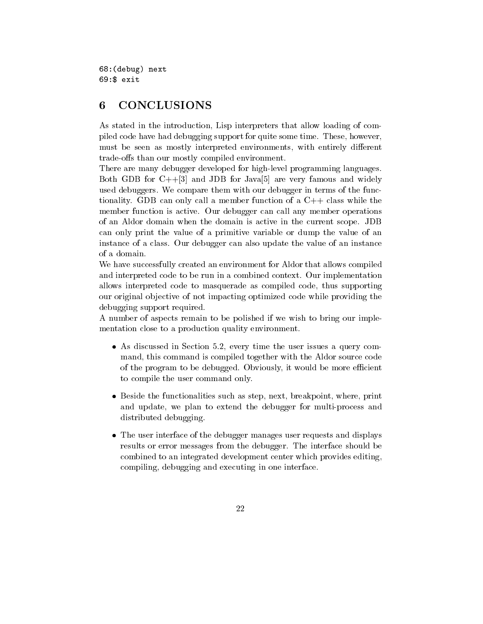68: (debug) next  $69:$ \$ exit

## **CONCLUSIONS** 6

As stated in the introduction, Lisp interpreters that allow loading of compiled code have had debugging support for quite some time. These, however, must be seen as mostly interpreted environments, with entirely different trade-offs than our mostly compiled environment.

There are many debugger developed for high-level programming languages. Both GDB for  $C++[3]$  and JDB for Java[5] are very famous and widely used debuggers. We compare them with our debugger in terms of the functionality. GDB can only call a member function of a  $C++$  class while the member function is active. Our debugger can call any member operations of an Aldor domain when the domain is active in the current scope. JDB can only print the value of a primitive variable or dump the value of an instance of a class. Our debugger can also update the value of an instance of a domain.

We have successfully created an environment for Aldor that allows compiled and interpreted code to be run in a combined context. Our implementation allows interpreted code to masquerade as compiled code, thus supporting our original objective of not impacting optimized code while providing the debugging support required.

A number of aspects remain to be polished if we wish to bring our implementation close to a production quality environment.

- As discussed in Section 5.2, every time the user issues a query command, this command is compiled together with the Aldor source code of the program to be debugged. Obviously, it would be more efficient to compile the user command only.
- Beside the functionalities such as step, next, breakpoint, where, print and update, we plan to extend the debugger for multi-process and distributed debugging.
- The user interface of the debugger manages user requests and displays results or error messages from the debugger. The interface should be combined to an integrated development center which provides editing. compiling, debugging and executing in one interface.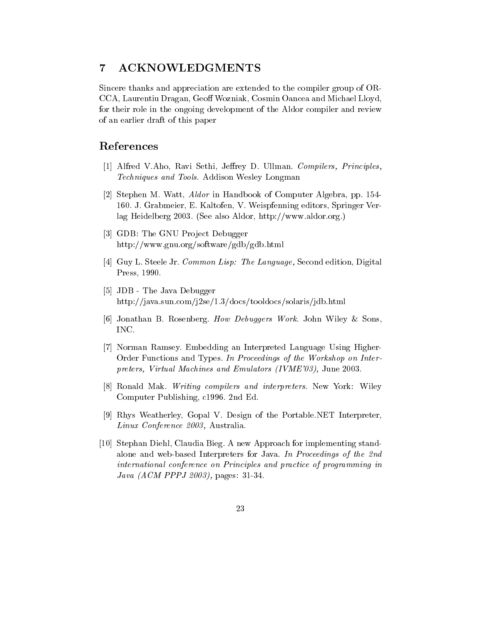### $\overline{7}$ ACKNOWLEDGMENTS

Sincere thanks and appreciation are extended to the compiler group of OR-CCA, Laurentiu Dragan, Geoff Wozniak, Cosmin Oancea and Michael Lloyd, for their role in the ongoing development of the Aldor compiler and review of an earlier draft of this paper

# References

- [1] Alfred V.Aho, Ravi Sethi, Jeffrey D. Ullman. Compilers, Principles, Techniques and Tools. Addison Wesley Longman
- [2] Stephen M. Watt, *Aldor* in Handbook of Computer Algebra, pp. 154-160. J. Grabmeier, E. Kaltofen, V. Weispfenning editors, Springer Verlag Heidelberg 2003. (See also Aldor, http://www.aldor.org.)
- [3] GDB: The GNU Project Debugger http://www.gnu.org/software/gdb/gdb.html
- [4] Guy L. Steele Jr. Common Lisp: The Language, Second edition, Digital Press, 1990.
- [5] JDB The Java Debugger http://java.sun.com/j2se/1.3/docs/tooldocs/solaris/jdb.html
- [6] Jonathan B. Rosenberg. How Debuggers Work. John Wiley & Sons, INC.
- [7] Norman Ramsey. Embedding an Interpreted Language Using Higher-Order Functions and Types. In Proceedings of the Workshop on Interpreters, Virtual Machines and Emulators (IVME'03), June 2003.
- [8] Ronald Mak. Writing compilers and interpreters. New York: Wiley Computer Publishing, c1996. 2nd Ed.
- [9] Rhys Weatherley, Gopal V. Design of the Portable.NET Interpreter, Linux Conference 2003, Australia.
- [10] Stephan Diehl, Claudia Bieg. A new Approach for implementing standalone and web-based Interpreters for Java. In Proceedings of the 2nd international conference on Principles and practice of programming in  $Java (ACM PPPJ 2003)$ , pages: 31-34.